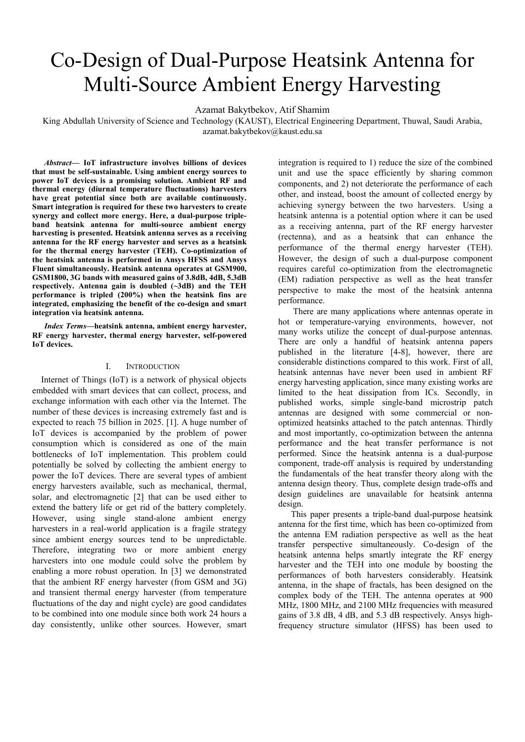# Co-Design of Dual-Purpose Heatsink Antenna for Multi-Source Ambient Energy Harvesting

Azamat Bakytbekov, Atif Shamim

King Abdullah University of Science and Technology (KAUST), Electrical Engineering Department, Thuwal, Saudi Arabia, azamat.bakytbekov@kaust.edu.sa

*Abstract***— IoT infrastructure involves billions of devices that must be self-sustainable. Using ambient energy sources to power IoT devices is a promising solution. Ambient RF and thermal energy (diurnal temperature fluctuations) harvesters have great potential since both are available continuously. Smart integration is required for these two harvesters to create synergy and collect more energy. Here, a dual-purpose tripleband heatsink antenna for multi-source ambient energy harvesting is presented. Heatsink antenna serves as a receiving antenna for the RF energy harvester and serves as a heatsink for the thermal energy harvester (TEH). Co-optimization of the heatsink antenna is performed in Ansys HFSS and Ansys Fluent simultaneously. Heatsink antenna operates at GSM900, GSM1800, 3G bands with measured gains of 3.8dB, 4dB, 5.3dB respectively. Antenna gain is doubled (~3dB) and the TEH performance is tripled (200%) when the heatsink fins are integrated, emphasizing the benefit of the co-design and smart integration via heatsink antenna.** 

*Index Terms—***heatsink antenna, ambient energy harvester, RF energy harvester, thermal energy harvester, self-powered IoT devices.**

#### I. INTRODUCTION

Internet of Things (IoT) is a network of physical objects embedded with smart devices that can collect, process, and exchange information with each other via the Internet. The number of these devices is increasing extremely fast and is expected to reach 75 billion in 2025. [1]. A huge number of IoT devices is accompanied by the problem of power consumption which is considered as one of the main bottlenecks of IoT implementation. This problem could potentially be solved by collecting the ambient energy to power the IoT devices. There are several types of ambient energy harvesters available, such as mechanical, thermal, solar, and electromagnetic [2] that can be used either to extend the battery life or get rid of the battery completely. However, using single stand-alone ambient energy harvesters in a real-world application is a fragile strategy since ambient energy sources tend to be unpredictable. Therefore, integrating two or more ambient energy harvesters into one module could solve the problem by enabling a more robust operation. In [3] we demonstrated that the ambient RF energy harvester (from GSM and 3G) and transient thermal energy harvester (from temperature fluctuations of the day and night cycle) are good candidates to be combined into one module since both work 24 hours a day consistently, unlike other sources. However, smart

integration is required to 1) reduce the size of the combined unit and use the space efficiently by sharing common components, and 2) not deteriorate the performance of each other, and instead, boost the amount of collected energy by achieving synergy between the two harvesters. Using a heatsink antenna is a potential option where it can be used as a receiving antenna, part of the RF energy harvester (rectenna), and as a heatsink that can enhance the performance of the thermal energy harvester (TEH). However, the design of such a dual-purpose component requires careful co-optimization from the electromagnetic (EM) radiation perspective as well as the heat transfer perspective to make the most of the heatsink antenna performance.

 There are many applications where antennas operate in hot or temperature-varying environments, however, not many works utilize the concept of dual-purpose antennas. There are only a handful of heatsink antenna papers published in the literature [4-8], however, there are considerable distinctions compared to this work. First of all, heatsink antennas have never been used in ambient RF energy harvesting application, since many existing works are limited to the heat dissipation from ICs. Secondly, in published works, simple single-band microstrip patch antennas are designed with some commercial or nonoptimized heatsinks attached to the patch antennas. Thirdly and most importantly, co-optimization between the antenna performance and the heat transfer performance is not performed. Since the heatsink antenna is a dual-purpose component, trade-off analysis is required by understanding the fundamentals of the heat transfer theory along with the antenna design theory. Thus, complete design trade-offs and design guidelines are unavailable for heatsink antenna design.

This paper presents a triple-band dual-purpose heatsink antenna for the first time, which has been co-optimized from the antenna EM radiation perspective as well as the heat transfer perspective simultaneously. Co-design of the heatsink antenna helps smartly integrate the RF energy harvester and the TEH into one module by boosting the performances of both harvesters considerably. Heatsink antenna, in the shape of fractals, has been designed on the complex body of the TEH. The antenna operates at 900 MHz, 1800 MHz, and 2100 MHz frequencies with measured gains of 3.8 dB, 4 dB, and 5.3 dB respectively. Ansys highfrequency structure simulator (HFSS) has been used to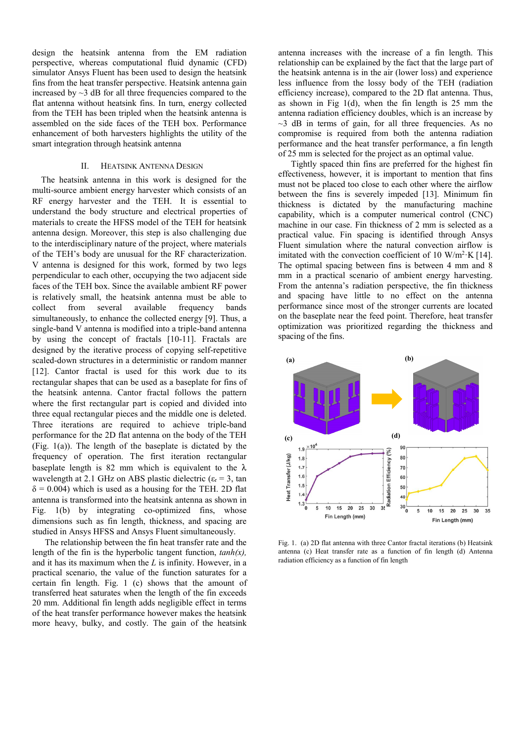design the heatsink antenna from the EM radiation perspective, whereas computational fluid dynamic (CFD) simulator Ansys Fluent has been used to design the heatsink fins from the heat transfer perspective. Heatsink antenna gain increased by  $\sim$ 3 dB for all three frequencies compared to the flat antenna without heatsink fins. In turn, energy collected from the TEH has been tripled when the heatsink antenna is assembled on the side faces of the TEH box. Performance enhancement of both harvesters highlights the utility of the smart integration through heatsink antenna

### II. HEATSINK ANTENNA DESIGN

The heatsink antenna in this work is designed for the multi-source ambient energy harvester which consists of an RF energy harvester and the TEH. It is essential to understand the body structure and electrical properties of materials to create the HFSS model of the TEH for heatsink antenna design. Moreover, this step is also challenging due to the interdisciplinary nature of the project, where materials of the TEH's body are unusual for the RF characterization. V antenna is designed for this work, formed by two legs perpendicular to each other, occupying the two adjacent side faces of the TEH box. Since the available ambient RF power is relatively small, the heatsink antenna must be able to collect from several available frequency bands simultaneously, to enhance the collected energy [9]. Thus, a single-band V antenna is modified into a triple-band antenna by using the concept of fractals [10-11]. Fractals are designed by the iterative process of copying self-repetitive scaled-down structures in a deterministic or random manner [12]. Cantor fractal is used for this work due to its rectangular shapes that can be used as a baseplate for fins of the heatsink antenna. Cantor fractal follows the pattern where the first rectangular part is copied and divided into three equal rectangular pieces and the middle one is deleted. Three iterations are required to achieve triple-band performance for the 2D flat antenna on the body of the TEH (Fig. 1(a)). The length of the baseplate is dictated by the frequency of operation. The first iteration rectangular baseplate length is 82 mm which is equivalent to the  $\lambda$ wavelength at 2.1 GHz on ABS plastic dielectric ( $\varepsilon_r$  = 3, tan  $\delta = 0.004$ ) which is used as a housing for the TEH. 2D flat antenna is transformed into the heatsink antenna as shown in Fig. 1(b) by integrating co-optimized fins, whose dimensions such as fin length, thickness, and spacing are studied in Ansys HFSS and Ansys Fluent simultaneously.

The relationship between the fin heat transfer rate and the length of the fin is the hyperbolic tangent function, *tanh(x),* and it has its maximum when the *L* is infinity. However, in a practical scenario, the value of the function saturates for a certain fin length. Fig. 1 (c) shows that the amount of transferred heat saturates when the length of the fin exceeds 20 mm. Additional fin length adds negligible effect in terms of the heat transfer performance however makes the heatsink more heavy, bulky, and costly. The gain of the heatsink antenna increases with the increase of a fin length. This relationship can be explained by the fact that the large part of the heatsink antenna is in the air (lower loss) and experience less influence from the lossy body of the TEH (radiation efficiency increase), compared to the 2D flat antenna. Thus, as shown in Fig  $1(d)$ , when the fin length is 25 mm the antenna radiation efficiency doubles, which is an increase by  $\sim$ 3 dB in terms of gain, for all three frequencies. As no compromise is required from both the antenna radiation performance and the heat transfer performance, a fin length of 25 mm is selected for the project as an optimal value.

Tightly spaced thin fins are preferred for the highest fin effectiveness, however, it is important to mention that fins must not be placed too close to each other where the airflow between the fins is severely impeded [13]. Minimum fin thickness is dictated by the manufacturing machine capability, which is a computer numerical control (CNC) machine in our case. Fin thickness of 2 mm is selected as a practical value. Fin spacing is identified through Ansys Fluent simulation where the natural convection airflow is imitated with the convection coefficient of 10 W/m<sup>2</sup>·K [14]. The optimal spacing between fins is between 4 mm and 8 mm in a practical scenario of ambient energy harvesting. From the antenna's radiation perspective, the fin thickness and spacing have little to no effect on the antenna performance since most of the stronger currents are located on the baseplate near the feed point. Therefore, heat transfer optimization was prioritized regarding the thickness and spacing of the fins.



Fig. 1. (a) 2D flat antenna with three Cantor fractal iterations (b) Heatsink antenna (c) Heat transfer rate as a function of fin length (d) Antenna radiation efficiency as a function of fin length